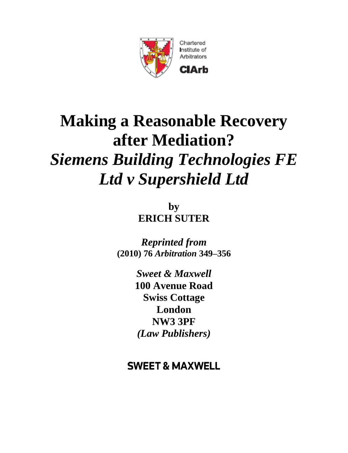

# **Making a Reasonable Recovery after Mediation?** *Siemens Building Technologies FE Ltd v Supershield Ltd*

**by ERICH SUTER**

*Reprinted from* **(2010) 76** *Arbitration* **349–356**

> *Sweet & Maxwell*  **100 Avenue Road Swiss Cottage London NW3 3PF** *(Law Publishers)*

## **SWEET & MAXWELL**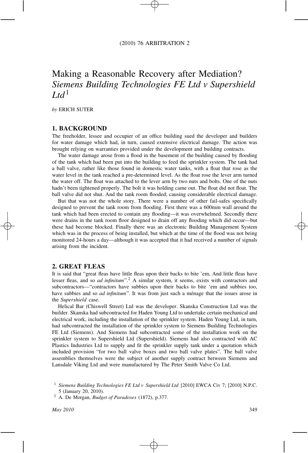### Making a Reasonable Recovery after Mediation? *Siemens Building Technologies FE Ltd v Supershield*  $Ltd<sup>1</sup>$

*by* ERICH SUTER

#### **1. BACKGROUND**

The freeholder, lessee and occupier of an office building sued the developer and builders for water damage which had, in turn, caused extensive electrical damage. The action was brought relying on warranties provided under the development and building contracts.

The water damage arose from a flood in the basement of the building caused by flooding of the tank which had been put into the building to feed the sprinkler system. The tank had a ball valve, rather like those found in domestic water tanks, with a float that rose as the water level in the tank reached a pre-determined level. As the float rose the lever arm turned the water off. The float was attached to the lever arm by two nuts and bolts. One of the nuts hadn't been tightened properly. The bolt it was holding came out. The float did not float. The ball valve did not shut. And the tank room flooded; causing considerable electrical damage.

But that was not the whole story. There were a number of other fail-safes specifically designed to prevent the tank room from flooding. First there was a 600mm wall around the tank which had been erected to contain any flooding—it was overwhelmed. Secondly there were drains in the tank room floor designed to drain off any flooding which did occur—but these had become blocked. Finally there was an electronic Building Management System which was in the process of being installed, but which at the time of the flood was not being monitored 24-hours a day—although it was accepted that it had received a number of signals arising from the incident.

#### **2. GREAT FLEAS**

It is said that "great fleas have little fleas upon their backs to bite 'em, And little fleas have lesser fleas, and so *ad infinitum*".2 A similar system, it seems, exists with contractors and subcontractors—"contractors have subbies upon their backs to bite 'em and subbies too, have subbies and so *ad infinitum*". It was from just such a ménage that the issues arose in the *Supershield* case.

Helical Bar (Chiswell Street) Ltd was the developer. Skanska Construction Ltd was the builder. Skanska had subcontracted for Haden Young Ltd to undertake certain mechanical and electrical work, including the installation of the sprinkler system. Haden Young Ltd, in turn, had subcontracted the installation of the sprinkler system to Siemens Building Technologies FE Ltd (Siemens). And Siemens had subcontracted some of the installation work on the sprinkler system to Supershield Ltd (Supershield). Siemens had also contracted with AC Plastics Industries Ltd to supply and fit the sprinkler supply tank under a quotation which included provision "for two ball valve boxes and two ball valve plates". The ball valve assemblies themselves were the subject of another supply contract between Siemens and Lansdale Viking Ltd and were manufactured by The Peter Smith Valve Co Ltd.

<sup>1</sup> *Siemens Building Technologies FE Ltd v Supershield Ltd* [2010] EWCA Civ 7; [2010] N.P.C. 5 (January 20, 2010).

<sup>2</sup> A. De Morgan, *Budget of Paradoxes* (1872), p.377.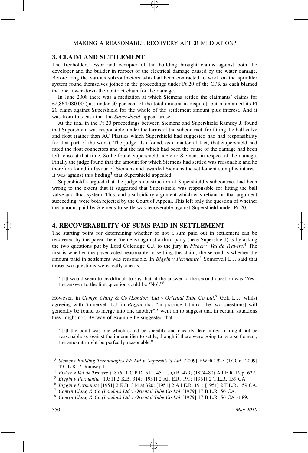#### **3. CLAIM AND SETTLEMENT**

The freeholder, lessor and occupier of the building brought claims against both the developer and the builder in respect of the electrical damage caused by the water damage. Before long the various subcontractors who had been contracted to work on the sprinkler system found themselves joined in the proceedings under Pt 20 of the CPR as each blamed the one lower down the contract chain for the damage.

In June 2008 there was a mediation at which Siemens settled the claimants' claims for £2,864,080.00 (just under 50 per cent of the total amount in dispute), but maintained its Pt 20 claim against Supershield for the whole of the settlement amount plus interest. And it was from this case that the *Supershield* appeal arose.

At the trial in the Pt 20 proceedings between Siemens and Supershield Ramsey J. found that Supershield was responsible, under the terms of the subcontract, for fitting the ball valve and float (rather than AC Plastics which Supershield had suggested had had responsibility for that part of the work). The judge also found, as a matter of fact, that Supershield had fitted the float connectors and that the nut which had been the cause of the damage had been left loose at that time. So he found Supershield liable to Siemens in respect of the damage. Finally the judge found that the amount for which Siemens had settled was reasonable and he therefore found in favour of Siemens and awarded Siemens the settlement sum plus interest. It was against this finding<sup>3</sup> that Supershield appealed.

Supershield's argued that the judge's construction of Supershield's subcontract had been wrong to the extent that it suggested that Supershield was responsible for fitting the ball valve and float system. This, and a subsidiary argument which was reliant on that argument succeeding, were both rejected by the Court of Appeal. This left only the question of whether the amount paid by Siemens to settle was recoverable against Supershield under Pt 20.

#### **4. RECOVERABILITY OF SUMS PAID IN SETTLEMENT**

The starting point for determining whether or not a sum paid out in settlement can be recovered by the payer (here Siemens) against a third party (here Supershield) is by asking the two questions put by Lord Coleridge C.J. to the jury in *Fisher v Val de Travers*. <sup>4</sup> The first is whether the payer acted reasonably in settling the claim; the second is whether the amount paid in settlement was reasonable. In *Biggin v Permanite*<sup>5</sup> Somervell L.J. said that those two questions were really one as:

"[I]t would seem to be difficult to say that, if the answer to the second question was 'Yes', the answer to the first question could be 'No'."6

However, in *Comyn Ching & Co (London) Ltd v Oriental Tube Co Ltd,*<sup>7</sup> Goff L.J., whilst agreeing with Somervell L.J. in *Biggin* that "in practice I think [the two questions] will generally be found to merge into one another",<sup>8</sup> went on to suggest that in certain situations they might not. By way of example he suggested that:

"[I]f the point was one which could be speedily and cheaply determined, it might not be reasonable as against the indemnifier to settle, though if there were going to be a settlement, the amount might be perfectly reasonable."

<sup>3</sup> *Siemens Building Technologies FE Ltd v Supershield Ltd* [2009] EWHC 927 (TCC); [2009] T.C.L.R. 7, Ramsey J.

<sup>4</sup> *Fisher v Val de Travers* (1876) 1 C.P.D. 511; 45 L.J.Q.B. 479; (1874–80) All E.R. Rep. 622.

<sup>5</sup> *Biggin v Permanite* [1951] 2 K.B. 314; [1951] 2 All E.R. 191; [1951] 2 T.L.R. 159 CA.

<sup>6</sup> *Biggin v Permanite* [1951] 2 K.B. 314 at 320; [1951] 2 All E.R. 191; [1951] 2 T.L.R. 159 CA.

<sup>7</sup> *Comyn Ching & Co (London) Ltd v Oriental Tube Co Ltd* [1979] 17 B.L.R. 56 CA.

<sup>8</sup> *Comyn Ching & Co (London) Ltd v Oriental Tube Co Ltd* [1979] 17 B.L.R. 56 CA at 89.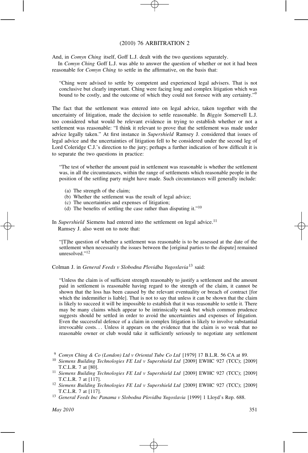#### (2010) 76 ARBITRATION 2

And, in *Comyn Ching* itself, Goff L.J. dealt with the two questions separately.

In *Comyn Ching* Goff L.J. was able to answer the question of whether or not it had been reasonable for *Comyn Ching* to settle in the affirmative, on the basis that:

"Ching were advised to settle by competent and experienced legal advisers. That is not conclusive but clearly important. Ching were facing long and complex litigation which was bound to be costly, and the outcome of which they could not foresee with any certainty."9

The fact that the settlement was entered into on legal advice, taken together with the uncertainty of litigation, made the decision to settle reasonable. In *Biggin* Somervell L.J. too considered what would be relevant evidence in trying to establish whether or not a settlement was reasonable: "I think it relevant to prove that the settlement was made under advice legally taken." At first instance in *Supershield* Ramsey J. considered that issues of legal advice and the uncertainties of litigation fell to be considered under the second leg of Lord Coleridge C.J.'s direction to the jury; perhaps a further indication of how difficult it is to separate the two questions in practice:

"The test of whether the amount paid in settlement was reasonable is whether the settlement was, in all the circumstances, within the range of settlements which reasonable people in the position of the settling party might have made. Such circumstances will generally include:

- (a) The strength of the claim;
- (b) Whether the settlement was the result of legal advice;
- (c) The uncertainties and expenses of litigation;
- (d) The benefits of settling the case rather than disputing it." $10$

In *Supershield* Siemens had entered into the settlement on legal advice.<sup>11</sup> Ramsey J. also went on to note that:

"[T]he question of whether a settlement was reasonable is to be assessed at the date of the settlement when necessarily the issues between the [original parties to the dispute] remained unresolved."12

Colman J. in *General Feeds v Slobodna Plovidba Yugoslavia*<sup>13</sup> said:

"Unless the claim is of sufficient strength reasonably to justify a settlement and the amount paid in settlement is reasonable having regard to the strength of the claim, it cannot be shown that the loss has been caused by the relevant eventuality or breach of contract [for which the indemnifier is liable]. That is not to say that unless it can be shown that the claim is likely to succeed it will be impossible to establish that it was reasonable to settle it. There may be many claims which appear to be intrinsically weak but which common prudence suggests should be settled in order to avoid the uncertainties and expenses of litigation. Even the successful defence of a claim in complex litigation is likely to involve substantial irrevocable costs*...* Unless it appears on the evidence that the claim is so weak that no reasonable owner or club would take it sufficiently seriously to negotiate any settlement

<sup>9</sup> *Comyn Ching & Co (London) Ltd v Oriental Tube Co Ltd* [1979] 17 B.L.R. 56 CA at 89.

- <sup>10</sup> *Siemens Building Technologies FE Ltd v Supershield Ltd* [2009] EWHC 927 (TCC); [2009] T.C.L.R. 7 at [80].
- <sup>11</sup> *Siemens Building Technologies FE Ltd v Supershield Ltd* [2009] EWHC 927 (TCC); [2009] T.C.L.R. 7 at [117].
- <sup>12</sup> *Siemens Building Technologies FE Ltd v Supershield Ltd* [2009] EWHC 927 (TCC); [2009] T.C.L.R. 7 at [117].
- <sup>13</sup> *General Feeds Inc Panama v Slobodna Plovidba Yugoslavia* [1999] 1 Lloyd's Rep. 688.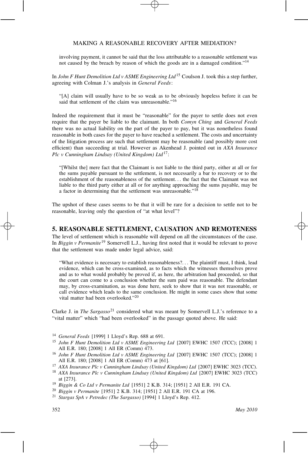involving payment, it cannot be said that the loss attributable to a reasonable settlement was not caused by the breach by reason of which the goods are in a damaged condition."14

In *John F Hunt Demolition Ltd v ASME Engineering Ltd*<sup>15</sup> Coulson J. took this a step further, agreeing with Colman J.'s analysis in *General Feeds*:

"[A] claim will usually have to be so weak as to be obviously hopeless before it can be said that settlement of the claim was unreasonable."<sup>16</sup>

Indeed the requirement that it must be "reasonable" for the payer to settle does not even require that the payer be liable to the claimant. In both *Comyn Ching* and *General Feeds* there was no actual liability on the part of the payer to pay, but it was nonetheless found reasonable in both cases for the payer to have reached a settlement. The costs and uncertainty of the litigation process are such that settlement may be reasonable (and possibly more cost efficient) than succeeding at trial. However as Akenhead J. pointed out in *AXA Insurance Plc v Cunningham Lindsay (United Kingdom) Ltd*17:

"[Whilst the] mere fact that the Claimant is not liable to the third party, either at all or for the sums payable pursuant to the settlement, is not necessarily a bar to recovery or to the establishment of the reasonableness of the settlement*...* the fact that the Claimant was not liable to the third party either at all or for anything approaching the sums payable, may be a factor in determining that the settlement was unreasonable."<sup>18</sup>

The upshot of these cases seems to be that it will be rare for a decision to settle not to be reasonable, leaving only the question of "at what level"?

#### **5. REASONABLE SETTLEMENT, CAUSATION AND REMOTENESS**

The level of settlement which is reasonable will depend on all the circumstances of the case. In *Biggin v Permanite*<sup>19</sup> Somervell L.J., having first noted that it would be relevant to prove that the settlement was made under legal advice, said:

"What evidence is necessary to establish reasonableness?*...* The plaintiff must, I think, lead evidence, which can be cross-examined, as to facts which the witnesses themselves prove and as to what would probably be proved if, as here, the arbitration had proceeded, so that the court can come to a conclusion whether the sum paid was reasonable. The defendant may, by cross-examination, as was done here, seek to show that it was not reasonable, or call evidence which leads to the same conclusion. He might in some cases show that some vital matter had been overlooked."<sup>20</sup>

Clarke J. in *The Sargasso*<sup>21</sup> considered what was meant by Somervell L.J.'s reference to a "vital matter" which "had been overlooked" in the passage quoted above. He said:

- <sup>14</sup> *General Feeds* [1999] 1 Lloyd's Rep. 688 at 691.
- <sup>15</sup> *John F Hunt Demolition Ltd v ASME Engineering Ltd* [2007] EWHC 1507 (TCC); [2008] 1 All E.R. 180; [2008] 1 All ER (Comm) 473.
- <sup>16</sup> *John F Hunt Demolition Ltd v ASME Engineering Ltd* [2007] EWHC 1507 (TCC); [2008] 1 All E.R. 180; [2008] 1 All ER (Comm) 473 at [61].
- <sup>17</sup> *AXA Insurance Plc v Cunningham Lindsay (United Kingdom) Ltd* [2007] EWHC 3023 (TCC).
- <sup>18</sup> *AXA Insurance Plc v Cunningham Lindsay (United Kingdom) Ltd* [2007] EWHC 3023 (TCC) at [273].
- <sup>19</sup> *Biggin & Co Ltd v Permanite Ltd* [1951] 2 K.B. 314; [1951] 2 All E.R. 191 CA.
- <sup>20</sup> *Biggin v Permanite* [1951] 2 K.B. 314; [1951] 2 All E.R. 191 CA at 196.
- <sup>21</sup> *Stargas SpA v Petredec (The Sargasso)* [1994] 1 Lloyd's Rep. 412.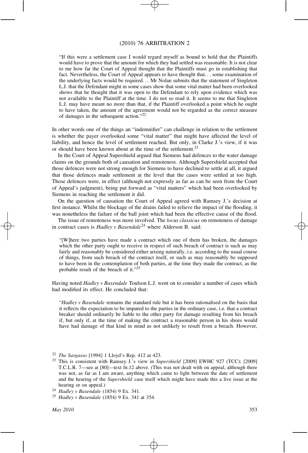#### (2010) 76 ARBITRATION 2

"If this were a settlement case I would regard myself as bound to hold that the Plaintiffs would have to prove that the amount for which they had settled was reasonable. It is not clear to me how far the Court of Appeal thought that the Plaintiffs must go in establishing that fact. Nevertheless, the Court of Appeal appears to have thought that*...* some examination of the underlying facts would be required*...* Mr Nolan submits that the statement of Singleton L.J. that the Defendant might in some cases show that some vital matter had been overlooked shows that he thought that it was open to the Defendant to rely upon evidence which was not available to the Plaintiff at the time. I do not so read it. It seems to me that Singleton L.J. may have meant no more than that, if the Plaintiff overlooked a point which he ought to have taken, the amount of the agreement would not be regarded as the correct measure of damages in the subsequent action."22

In other words one of the things an "indemnifier" can challenge in relation to the settlement is whether the payer overlooked some "vital matter" that might have affected the level of liability, and hence the level of settlement reached. But only, in Clarke J.'s view, if it was or should have been known about at the time of the settlement.<sup>23</sup>

In the Court of Appeal Supershield argued that Siemens had defences to the water damage claims on the grounds both of causation and remoteness. Although Supershield accepted that those defences were not strong enough for Siemens to have declined to settle at all, it argued that those defences made settlement at the level that the cases were settled at too high. Those defences were, in effect (although not expressly as far as can be seen from the Court of Appeal's judgment), being put forward as "vital matters" which had been overlooked by Siemens in reaching the settlement it did.

On the question of causation the Court of Appeal agreed with Ramsey J.'s decision at first instance. Whilst the blockage of the drains failed to relieve the impact of the flooding, it was nonetheless the failure of the ball joint which had been the effective cause of the flood.

The issue of remoteness was more involved. The *locus classicus* on remoteness of damage in contract cases is *Hadley v Baxendale*<sup>24</sup> where Alderson B. said:

"[W]here two parties have made a contract which one of them has broken, the damages which the other party ought to receive in respect of such breach of contract is such as may fairly and reasonably be considered either arising naturally, i.e. according to the usual course of things, from such breach of the contract itself, or such as may reasonably be supposed to have been in the contemplation of both parties, at the time they made the contract, as the probable result of the breach of it."25

Having noted *Hadley v Baxendale* Toulson L.J. went on to consider a number of cases which had modified its effect. He concluded that:

"*Hadley v Baxendale* remains the standard rule but it has been rationalised on the basis that it reflects the expectation to be imputed to the parties in the ordinary case, i.e. that a contract breaker should ordinarily be liable to the other party for damage resulting from his breach if, but only if, at the time of making the contract a reasonable person in his shoes would have had damage of that kind in mind as not unlikely to result from a breach. However,

<sup>22</sup> *The Sargasso* [1994] 1 Lloyd's Rep. 412 at 423.

<sup>23</sup> This is consistent with Ramsey J.'s view in *Supershield* [2009] EWHC 927 (TCC); [2009] T.C.L.R. 7—see at [80]—text fn.12 above. (This was not dealt with on appeal, although there was not, as far as I am aware, anything which came to light between the date of settlement and the hearing of the *Supershield* case itself which might have made this a live issue at the hearing or on appeal.)

<sup>24</sup> *Hadley v Baxendale* (1854) 9 Ex. 341.

<sup>25</sup> *Hadley v Baxendale* (1854) 9 Ex. 341 at 354.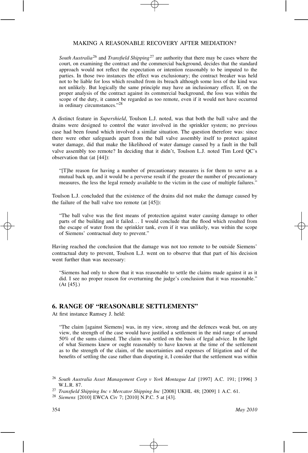*South Australia*<sup>26</sup> and *Transfield Shipping*<sup>27</sup> are authority that there may be cases where the court, on examining the contract and the commercial background, decides that the standard approach would not reflect the expectation or intention reasonably to be imputed to the parties. In those two instances the effect was exclusionary; the contract breaker was held not to be liable for loss which resulted from its breach although some loss of the kind was not unlikely. But logically the same principle may have an inclusionary effect. If, on the proper analysis of the contract against its commercial background, the loss was within the scope of the duty, it cannot be regarded as too remote, even if it would not have occurred in ordinary circumstances."28

A distinct feature in *Supershield*, Toulson L.J. noted, was that both the ball valve and the drains were designed to control the water involved in the sprinkler system; no previous case had been found which involved a similar situation. The question therefore was: since there were other safeguards apart from the ball valve assembly itself to protect against water damage, did that make the likelihood of water damage caused by a fault in the ball valve assembly too remote? In deciding that it didn't, Toulson L.J. noted Tim Lord QC's observation that (at [44]):

"[T]he reason for having a number of precautionary measures is for them to serve as a mutual back up, and it would be a perverse result if the greater the number of precautionary measures, the less the legal remedy available to the victim in the case of multiple failures."

Toulson L.J. concluded that the existence of the drains did not make the damage caused by the failure of the ball valve too remote (at [45]):

"The ball valve was the first means of protection against water causing damage to other parts of the building and it failed*...* I would conclude that the flood which resulted from the escape of water from the sprinkler tank, even if it was unlikely, was within the scope of Siemens' contractual duty to prevent."

Having reached the conclusion that the damage was not too remote to be outside Siemens' contractual duty to prevent, Toulson L.J. went on to observe that that part of his decision went further than was necessary:

"Siemens had only to show that it was reasonable to settle the claims made against it as it did. I see no proper reason for overturning the judge's conclusion that it was reasonable." (At [45].)

#### **6. RANGE OF "REASONABLE SETTLEMENTS"**

At first instance Ramsey J. held:

"The claim [against Siemens] was, in my view, strong and the defences weak but, on any view, the strength of the case would have justified a settlement in the mid range of around 50% of the sums claimed. The claim was settled on the basis of legal advice. In the light of what Siemens knew or ought reasonably to have known at the time of the settlement as to the strength of the claim, of the uncertainties and expenses of litigation and of the benefits of settling the case rather than disputing it, I consider that the settlement was within

<sup>26</sup> *South Australia Asset Management Corp v York Montague Ltd* [1997] A.C. 191; [1996] 3 W.L.R. 87.

<sup>27</sup> *Transfield Shipping Inc v Mercator Shipping Inc* [2008] UKHL 48; [2009] 1 A.C. 61.

<sup>28</sup> *Siemens* [2010] EWCA Civ 7; [2010] N.P.C. 5 at [43].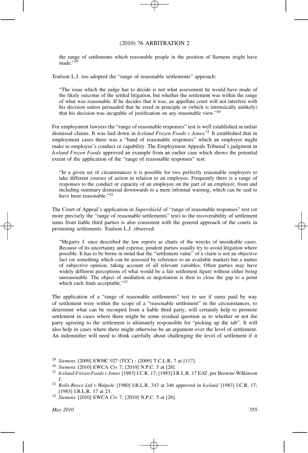#### (2010) 76 ARBITRATION 2

the range of settlements which reasonable people in the position of Siemens might have made."<sup>29</sup>

Toulson L.J. too adopted the "range of reasonable settlements" approach:

"The issue which the judge has to decide is not what assessment he would have made of the likely outcome of the settled litigation, but whether the settlement was within the range of what was reasonable. If he decides that it was, an appellate court will not interfere with his decision unless persuaded that he erred in principle or (which is intrinsically unlikely) that his decision was incapable of justification on any reasonable view."30

For employment lawyers the "range of reasonable responses" test is well established in unfair dismissal claims. It was laid down in *Iceland Frozen Foods v Jones.*<sup>31</sup> It established that in employment cases there was a "band of reasonable responses" which an employer might make to employee's conduct or capability. The Employment Appeals Tribunal's judgment in *Iceland Frozen Foods* approved an example from an earlier case which shows the potential extent of the application of the "range of reasonable responses" test:

"In a given set of circumstances it is possible for two perfectly reasonable employers to take different courses of action in relation to an employee. Frequently there is a range of responses to the conduct or capacity of an employee on the part of an employer, from and including summary dismissal downwards to a mere informal warning, which can be said to have been reasonable."<sup>32</sup>

The Court of Appeal's application in *Supershield* of "range of reasonable responses" test (or more precisely the "range of reasonable settlements" test) to the recoverability of settlement sums from liable third parties is also consistent with the general approach of the courts in promoting settlements. Toulson L.J. observed:

"Megarry J. once described the law reports as charts of the wrecks of unsinkable cases. Because of its uncertainty and expense, prudent parties usually try to avoid litigation where possible. It has to be borne in mind that the "settlement value" of a claim is not an objective fact (or something which can be assessed by reference to an available market) but a matter of subjective opinion, taking account of all relevant variables. Often parties may have widely different perceptions of what would be a fair settlement figure without either being unreasonable. The object of mediation or negotiation is then to close the gap to a point which each finds acceptable."33

The application of a "range of reasonable settlements" test to see if sums paid by way of settlement were within the scope of a "reasonable settlement" in the circumstances, to determine what can be recouped from a liable third party, will certainly help to promote settlement in cases where there might be some residual question as to whether or not the party agreeing to the settlement is ultimately responsible for "picking up the tab". It will also help in cases where there might otherwise be an argument over the level of settlement. An indemnifier will need to think carefully about challenging the level of settlement if it

<sup>29</sup> *Siemens* [2009] EWHC 927 (TCC) ; [2009] T.C.L.R. 7 at [117].

<sup>30</sup> *Siemens* [2010] EWCA Civ 7; [2010] N.P.C. 5 at [28].

<sup>31</sup> *Iceland Frozen Foods v Jones* [1983] I.C.R. 17; [1983] I.R.L.R. 17 EAT, per Browne-Wilkinson J.

<sup>32</sup> *Rolls-Royce Ltd v Walpole* [1980] I.R.L.R. 343 at 346 approved in *Iceland* [1983] I.C.R. 17; [1983] I.R.L.R. 17 at 23.

<sup>33</sup> *Siemens* [2010] EWCA Civ 7; [2010] N.P.C. 5 at [28].